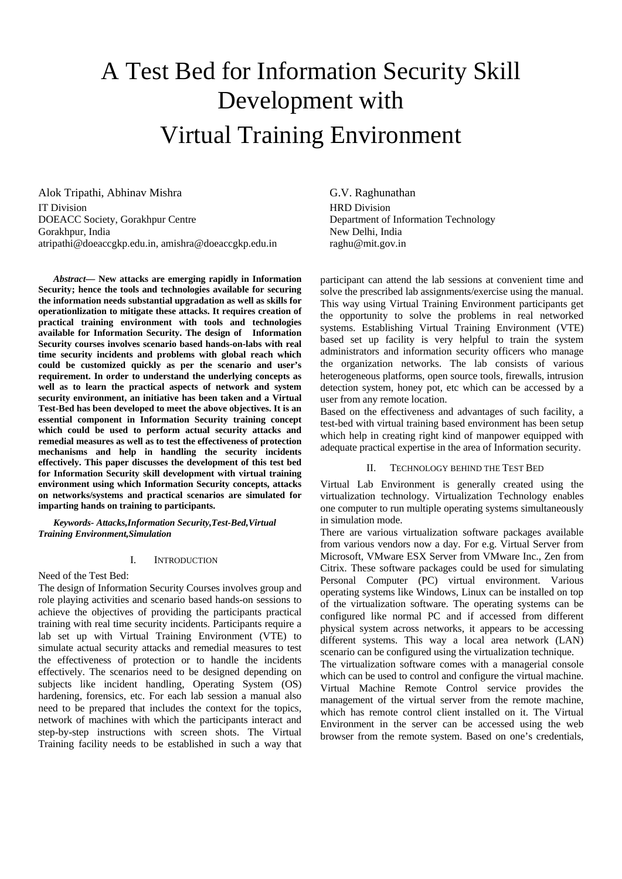# A Test Bed for Information Security Skill Development with Virtual Training Environment

Alok Tripathi, Abhinav Mishra IT Division DOEACC Society, Gorakhpur Centre Gorakhpur, India atripathi@doeaccgkp.edu.in, amishra@doeaccgkp.edu.in

*Abstract—* **New attacks are emerging rapidly in Information Security; hence the tools and technologies available for securing the information needs substantial upgradation as well as skills for operationlization to mitigate these attacks. It requires creation of practical training environment with tools and technologies available for Information Security. The design of Information Security courses involves scenario based hands-on-labs with real time security incidents and problems with global reach which could be customized quickly as per the scenario and user's requirement. In order to understand the underlying concepts as well as to learn the practical aspects of network and system security environment, an initiative has been taken and a Virtual Test-Bed has been developed to meet the above objectives. It is an essential component in Information Security training concept which could be used to perform actual security attacks and remedial measures as well as to test the effectiveness of protection mechanisms and help in handling the security incidents effectively. This paper discusses the development of this test bed for Information Security skill development with virtual training environment using which Information Security concepts, attacks on networks/systems and practical scenarios are simulated for imparting hands on training to participants.**

*Keywords- Attacks,Information Security,Test-Bed,Virtual Training Environment,Simulation* 

#### I. INTRODUCTION

Need of the Test Bed:

The design of Information Security Courses involves group and role playing activities and scenario based hands-on sessions to achieve the objectives of providing the participants practical training with real time security incidents. Participants require a lab set up with Virtual Training Environment (VTE) to simulate actual security attacks and remedial measures to test the effectiveness of protection or to handle the incidents effectively. The scenarios need to be designed depending on subjects like incident handling, Operating System (OS) hardening, forensics, etc. For each lab session a manual also need to be prepared that includes the context for the topics, network of machines with which the participants interact and step-by-step instructions with screen shots. The Virtual Training facility needs to be established in such a way that G.V. Raghunathan HRD Division Department of Information Technology New Delhi, India raghu@mit.gov.in

participant can attend the lab sessions at convenient time and solve the prescribed lab assignments/exercise using the manual. This way using Virtual Training Environment participants get the opportunity to solve the problems in real networked systems. Establishing Virtual Training Environment (VTE) based set up facility is very helpful to train the system administrators and information security officers who manage the organization networks. The lab consists of various heterogeneous platforms, open source tools, firewalls, intrusion detection system, honey pot, etc which can be accessed by a user from any remote location.

Based on the effectiveness and advantages of such facility, a test-bed with virtual training based environment has been setup which help in creating right kind of manpower equipped with adequate practical expertise in the area of Information security.

#### II. TECHNOLOGY BEHIND THE TEST BED

Virtual Lab Environment is generally created using the virtualization technology. Virtualization Technology enables one computer to run multiple operating systems simultaneously in simulation mode.

There are various virtualization software packages available from various vendors now a day. For e.g. Virtual Server from Microsoft, VMware ESX Server from VMware Inc., Zen from Citrix. These software packages could be used for simulating Personal Computer (PC) virtual environment. Various operating systems like Windows, Linux can be installed on top of the virtualization software. The operating systems can be configured like normal PC and if accessed from different physical system across networks, it appears to be accessing different systems. This way a local area network (LAN) scenario can be configured using the virtualization technique.

The virtualization software comes with a managerial console which can be used to control and configure the virtual machine. Virtual Machine Remote Control service provides the management of the virtual server from the remote machine, which has remote control client installed on it. The Virtual Environment in the server can be accessed using the web browser from the remote system. Based on one's credentials,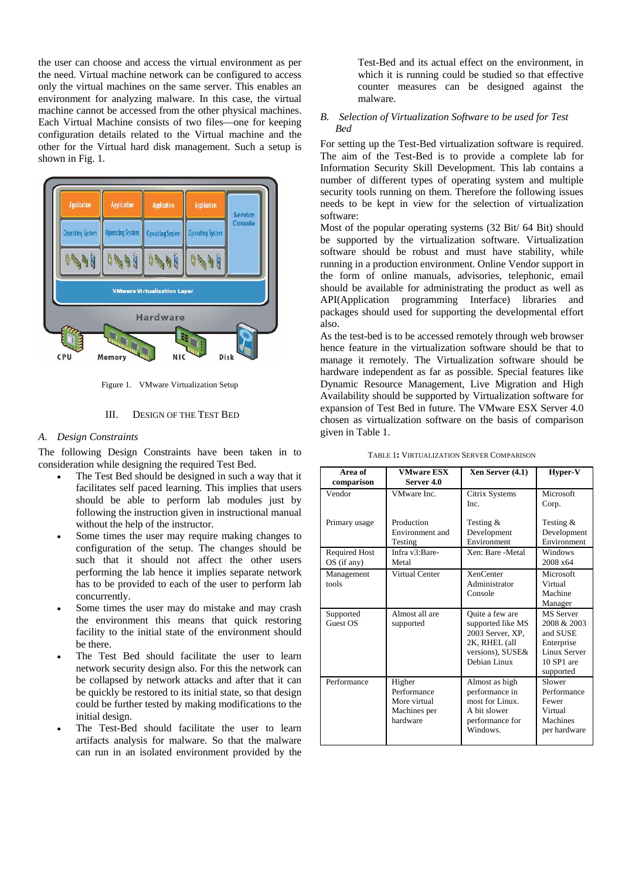the user can choose and access the virtual environment as per the need. Virtual machine network can be configured to access only the virtual machines on the same server. This enables an environment for analyzing malware. In this case, the virtual machine cannot be accessed from the other physical machines. Each Virtual Machine consists of two files—one for keeping configuration details related to the Virtual machine and the other for the Virtual hard disk management. Such a setup is shown in Fig. 1.



Figure 1. VMware Virtualization Setup

#### III. DESIGN OF THE TEST BED

#### *A. Design Constraints*

The following Design Constraints have been taken in to consideration while designing the required Test Bed.

- The Test Bed should be designed in such a way that it facilitates self paced learning. This implies that users should be able to perform lab modules just by following the instruction given in instructional manual without the help of the instructor.
- Some times the user may require making changes to configuration of the setup. The changes should be such that it should not affect the other users performing the lab hence it implies separate network has to be provided to each of the user to perform lab concurrently.
- Some times the user may do mistake and may crash the environment this means that quick restoring facility to the initial state of the environment should be there.
- The Test Bed should facilitate the user to learn network security design also. For this the network can be collapsed by network attacks and after that it can be quickly be restored to its initial state, so that design could be further tested by making modifications to the initial design.
- The Test-Bed should facilitate the user to learn artifacts analysis for malware. So that the malware can run in an isolated environment provided by the

Test-Bed and its actual effect on the environment, in which it is running could be studied so that effective counter measures can be designed against the malware.

## *B. Selection of Virtualization Software to be used for Test Bed*

For setting up the Test-Bed virtualization software is required. The aim of the Test-Bed is to provide a complete lab for Information Security Skill Development. This lab contains a number of different types of operating system and multiple security tools running on them. Therefore the following issues needs to be kept in view for the selection of virtualization software:

Most of the popular operating systems (32 Bit/ 64 Bit) should be supported by the virtualization software. Virtualization software should be robust and must have stability, while running in a production environment. Online Vendor support in the form of online manuals, advisories, telephonic, email should be available for administrating the product as well as API(Application programming Interface) libraries and packages should used for supporting the developmental effort also.

As the test-bed is to be accessed remotely through web browser hence feature in the virtualization software should be that to manage it remotely. The Virtualization software should be hardware independent as far as possible. Special features like Dynamic Resource Management, Live Migration and High Availability should be supported by Virtualization software for expansion of Test Bed in future. The VMware ESX Server 4.0 chosen as virtualization software on the basis of comparison given in Table 1.

| Area of<br>comparison                 | <b>VMware ESX</b><br>Server 4.0                                   | Xen Server (4.1)                                                                                              | Hyper-V                                                                                                     |
|---------------------------------------|-------------------------------------------------------------------|---------------------------------------------------------------------------------------------------------------|-------------------------------------------------------------------------------------------------------------|
| Vendor                                | VMware Inc.                                                       | Citrix Systems<br>Inc.                                                                                        | Microsoft<br>Corp.                                                                                          |
| Primary usage                         | Production<br>Environment and<br>Testing                          | Testing &<br>Development<br>Environment                                                                       | Testing $&$<br>Development<br>Environment                                                                   |
| <b>Required Host</b><br>$OS$ (if any) | Infra v3:Bare-<br>Metal                                           | Xen: Bare -Metal                                                                                              | Windows<br>2008 x64                                                                                         |
| Management<br>tools                   | <b>Virtual Center</b>                                             | <b>XenCenter</b><br>Administrator<br>Console                                                                  | Microsoft<br>Virtual<br>Machine<br>Manager                                                                  |
| Supported<br>Guest OS                 | Almost all are<br>supported                                       | Quite a few are<br>supported like MS<br>2003 Server, XP,<br>2K, RHEL (all<br>versions), SUSE&<br>Debian Linux | <b>MS</b> Server<br>2008 & 2003<br>and SUSE<br>Enterprise<br><b>Linux Server</b><br>10 SP1 are<br>supported |
| Performance                           | Higher<br>Performance<br>More virtual<br>Machines per<br>hardware | Almost as high<br>performance in<br>most for Linux.<br>A bit slower<br>performance for<br>Windows.            | Slower<br>Performance<br>Fewer<br>Virtual<br>Machines<br>per hardware                                       |

TABLE 1**:** VIRTUALIZATION SERVER COMPARISON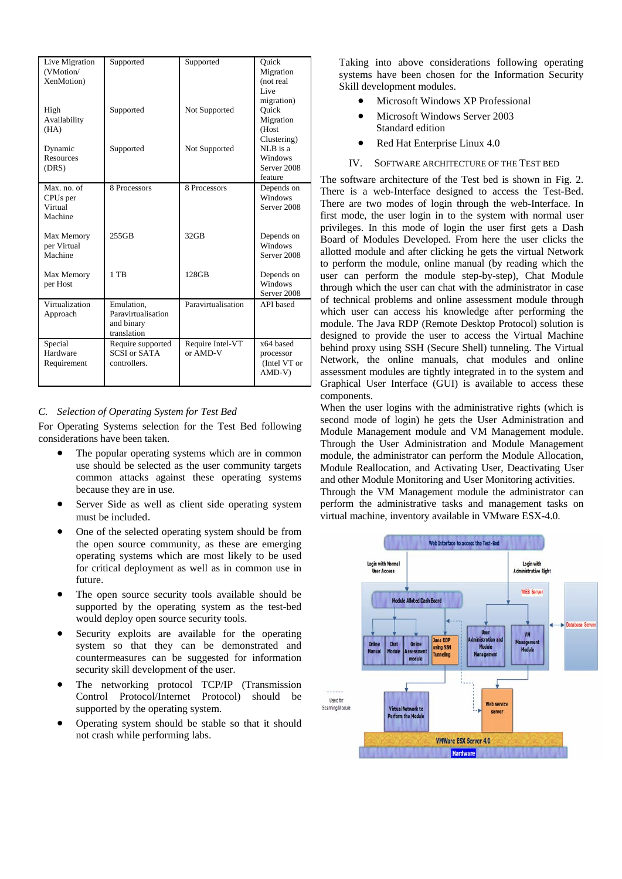| Live Migration<br>(VMotion/<br>XenMotion)                 | Supported                                                     | Supported                    | Ouick<br>Migration<br>(not real<br>Live                      |
|-----------------------------------------------------------|---------------------------------------------------------------|------------------------------|--------------------------------------------------------------|
| High<br>Availability<br>(HA)                              | Supported                                                     | Not Supported                | migration)<br>Ouick<br>Migration<br>(Host                    |
| Dynamic<br>Resources<br>(DRS)                             | Supported                                                     | Not Supported                | Clustering)<br>NLB is a<br>Windows<br>Server 2008<br>feature |
| Max. no. of<br>CPU <sub>s</sub> per<br>Virtual<br>Machine | 8 Processors                                                  | 8 Processors                 | Depends on<br>Windows<br>Server 2008                         |
| Max Memory<br>per Virtual<br>Machine                      | 255GB                                                         | $32$ GB                      | Depends on<br>Windows<br>Server 2008                         |
| Max Memory<br>per Host                                    | $1$ TB                                                        | 128GB                        | Depends on<br>Windows<br>Server 2008                         |
| Virtualization<br>Approach                                | Emulation,<br>Paravirtualisation<br>and binary<br>translation | Paravirtualisation           | API based                                                    |
| Special<br>Hardware<br>Requirement                        | Require supported<br><b>SCSI</b> or SATA<br>controllers.      | Require Intel-VT<br>or AMD-V | x64 based<br>processor<br>(Intel VT or<br>$AMD-V)$           |

## *C. Selection of Operating System for Test Bed*

For Operating Systems selection for the Test Bed following considerations have been taken.

- The popular operating systems which are in common use should be selected as the user community targets common attacks against these operating systems because they are in use.
- Server Side as well as client side operating system must be included.
- One of the selected operating system should be from the open source community, as these are emerging operating systems which are most likely to be used for critical deployment as well as in common use in future.
- The open source security tools available should be supported by the operating system as the test-bed would deploy open source security tools.
- Security exploits are available for the operating system so that they can be demonstrated and countermeasures can be suggested for information security skill development of the user.
- The networking protocol TCP/IP (Transmission Control Protocol/Internet Protocol) should be supported by the operating system.
- Operating system should be stable so that it should not crash while performing labs.

Taking into above considerations following operating systems have been chosen for the Information Security Skill development modules.

- Microsoft Windows XP Professional
- Microsoft Windows Server 2003 Standard edition
- Red Hat Enterprise Linux 4.0
- IV. SOFTWARE ARCHITECTURE OF THE TEST BED

The software architecture of the Test bed is shown in Fig. 2. There is a web-Interface designed to access the Test-Bed. There are two modes of login through the web-Interface. In first mode, the user login in to the system with normal user privileges. In this mode of login the user first gets a Dash Board of Modules Developed. From here the user clicks the allotted module and after clicking he gets the virtual Network to perform the module, online manual (by reading which the user can perform the module step-by-step), Chat Module through which the user can chat with the administrator in case of technical problems and online assessment module through which user can access his knowledge after performing the module. The Java RDP (Remote Desktop Protocol) solution is designed to provide the user to access the Virtual Machine behind proxy using SSH (Secure Shell) tunneling. The Virtual Network, the online manuals, chat modules and online assessment modules are tightly integrated in to the system and Graphical User Interface (GUI) is available to access these components.

When the user logins with the administrative rights (which is second mode of login) he gets the User Administration and Module Management module and VM Management module. Through the User Administration and Module Management module, the administrator can perform the Module Allocation, Module Reallocation, and Activating User, Deactivating User and other Module Monitoring and User Monitoring activities.

Through the VM Management module the administrator can perform the administrative tasks and management tasks on virtual machine, inventory available in VMware ESX-4.0.

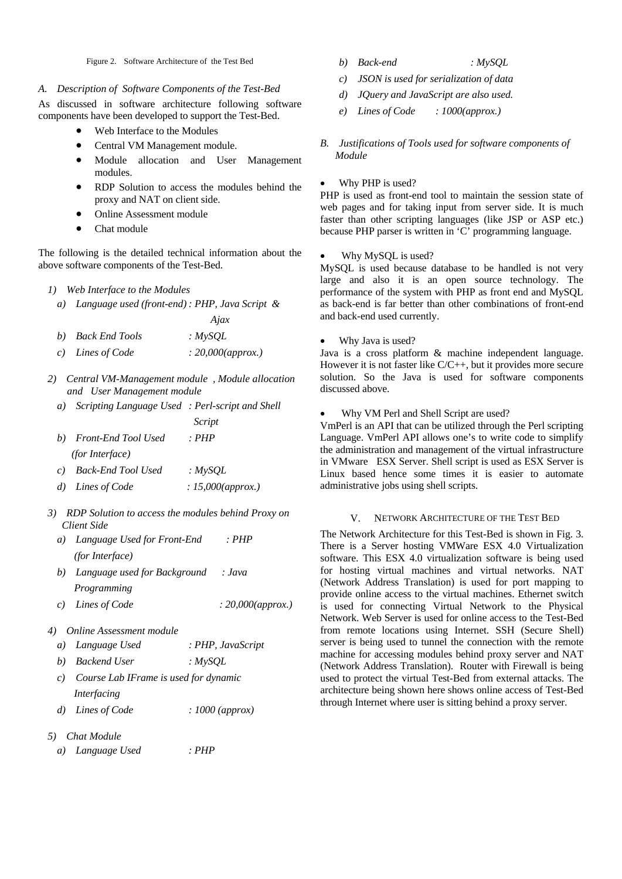Figure 2. Software Architecture of the Test Bed

## *A. Description of Software Components of the Test-Bed*

As discussed in software architecture following software components have been developed to support the Test-Bed.

- Web Interface to the Modules
- Central VM Management module.
- Module allocation and User Management modules.
- RDP Solution to access the modules behind the proxy and NAT on client side.
- Online Assessment module
- Chat module

The following is the detailed technical information about the above software components of the Test-Bed.

- *1) Web Interface to the Modules* 
	- *a) Language used (front-end) : PHP, Java Script &*

|                   | Ajax               |
|-------------------|--------------------|
| b) Back End Tools | : $MV SOL$         |
| c) Lines of Code  | : 20,000 (approx.) |

- *2) Central VM-Management module , Module allocation and User Management module* 
	- *a) Scripting Language Used : Perl-script and Shell Script*
	- *b) Front-End Tool Used : PHP (for Interface)*
	- *c) Back-End Tool Used : MySQL*
	- *d) Lines of Code : 15,000(approx.)*
- *3) RDP Solution to access the modules behind Proxy on Client Side* 
	- *a) Language Used for Front-End : PHP (for Interface)*
	- *b) Language used for Background : Java Programming*
	- *c) Lines of Code : 20,000(approx.)*
- *4) Online Assessment module* 
	- *a) Language Used : PHP, JavaScript*
	- *b) Backend User : MySQL*
	- *c) Course Lab IFrame is used for dynamic Interfacing*
	- *d) Lines of Code : 1000 (approx)*
- *5) Chat Module* 
	- *a) Language Used : PHP*
- *b) Back-end : MySQL*
- *c) JSON is used for serialization of data*
- *d) JQuery and JavaScript are also used.*
- *e) Lines of Code : 1000(approx.)*
- *B. Justifications of Tools used for software components of Module*

## • Why PHP is used?

PHP is used as front-end tool to maintain the session state of web pages and for taking input from server side. It is much faster than other scripting languages (like JSP or ASP etc.) because PHP parser is written in 'C' programming language.

## Why MySQL is used?

MySQL is used because database to be handled is not very large and also it is an open source technology. The performance of the system with PHP as front end and MySQL as back-end is far better than other combinations of front-end and back-end used currently.

• Why Java is used?

Java is a cross platform & machine independent language. However it is not faster like C/C++, but it provides more secure solution. So the Java is used for software components discussed above.

• Why VM Perl and Shell Script are used?

VmPerl is an API that can be utilized through the Perl scripting Language. VmPerl API allows one's to write code to simplify the administration and management of the virtual infrastructure in VMware ESX Server. Shell script is used as ESX Server is Linux based hence some times it is easier to automate administrative jobs using shell scripts.

#### V. NETWORK ARCHITECTURE OF THE TEST BED

The Network Architecture for this Test-Bed is shown in Fig. 3. There is a Server hosting VMWare ESX 4.0 Virtualization software. This ESX 4.0 virtualization software is being used for hosting virtual machines and virtual networks. NAT (Network Address Translation) is used for port mapping to provide online access to the virtual machines. Ethernet switch is used for connecting Virtual Network to the Physical Network. Web Server is used for online access to the Test-Bed from remote locations using Internet. SSH (Secure Shell) server is being used to tunnel the connection with the remote machine for accessing modules behind proxy server and NAT (Network Address Translation). Router with Firewall is being used to protect the virtual Test-Bed from external attacks. The architecture being shown here shows online access of Test-Bed through Internet where user is sitting behind a proxy server.